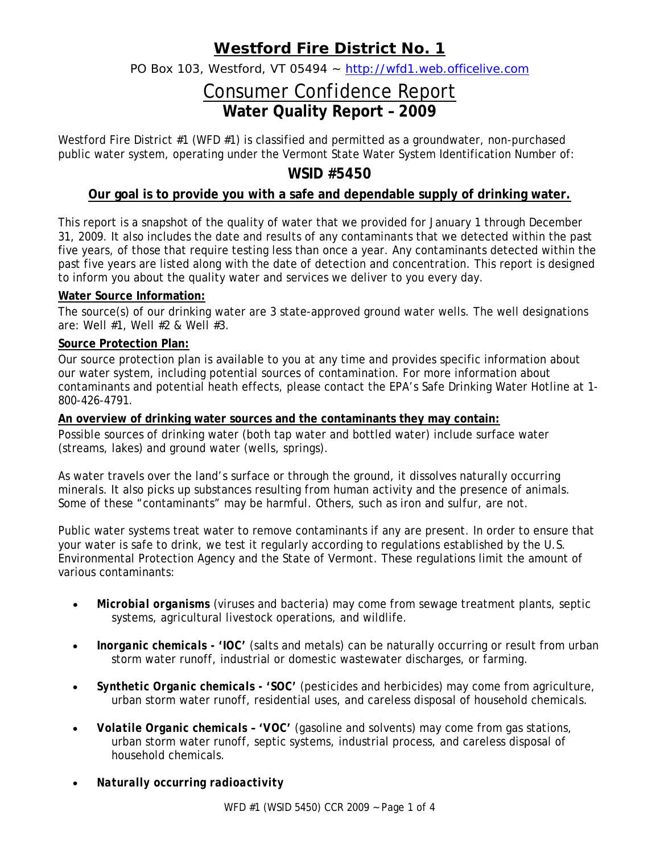# **Westford Fire District No. 1**

PO Box 103, Westford, VT 05494 ~ http://wfd1.web.officelive.com

# Consumer Confidence Report **Water Quality Report – 2009**

Westford Fire District #1 (WFD #1) is classified and permitted as a groundwater, non-purchased public water system, operating under the Vermont State Water System Identification Number of:

# **WSID #5450**

## **Our goal is to provide you with a safe and dependable supply of drinking water.**

This report is a snapshot of the quality of water that we provided for January 1 through December 31, 2009. It also includes the date and results of any contaminants that we detected within the past five years, of those that require testing less than once a year. Any contaminants detected within the past five years are listed along with the date of detection and concentration. This report is designed to inform you about the quality water and services we deliver to you every day.

### **Water Source Information:**

The source(s) of our drinking water are 3 state-approved ground water wells. The well designations are: Well #1, Well #2 & Well #3.

### **Source Protection Plan:**

Our source protection plan is available to you at any time and provides specific information about our water system, including potential sources of contamination. For more information about contaminants and potential heath effects, please contact the EPA's Safe Drinking Water Hotline at 1- 800-426-4791.

#### **An overview of drinking water sources and the contaminants they may contain:**

Possible sources of drinking water (both tap water and bottled water) include surface water (streams, lakes) and ground water (wells, springs).

As water travels over the land's surface or through the ground, it dissolves naturally occurring minerals. It also picks up substances resulting from human activity and the presence of animals. Some of these "contaminants" may be harmful. Others, such as iron and sulfur, are not.

Public water systems treat water to remove contaminants if any are present. In order to ensure that your water is safe to drink, we test it regularly according to regulations established by the U.S. Environmental Protection Agency and the State of Vermont. These regulations limit the amount of various contaminants:

- *Microbial organisms* (viruses and bacteria) may come from sewage treatment plants, septic systems, agricultural livestock operations, and wildlife.
- *Inorganic chemicals 'IOC'* (salts and metals) can be naturally occurring or result from urban storm water runoff, industrial or domestic wastewater discharges, or farming.
- *Synthetic Organic chemicals 'SOC'* (pesticides and herbicides) may come from agriculture, urban storm water runoff, residential uses, and careless disposal of household chemicals.
- *Volatile Organic chemicals 'VOC'* (gasoline and solvents) may come from gas stations, urban storm water runoff, septic systems, industrial process, and careless disposal of household chemicals.
- *Naturally occurring radioactivity*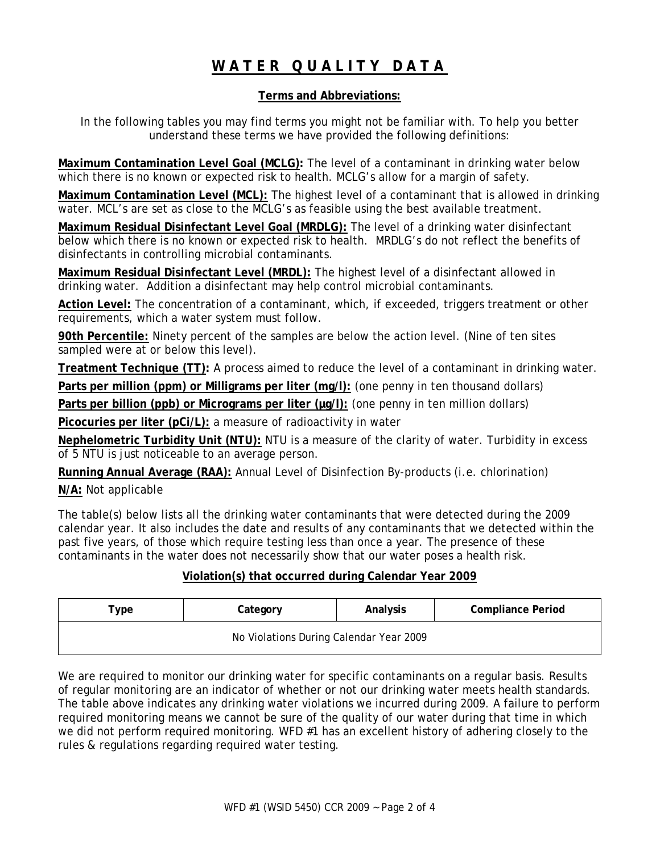# **WATER QUALITY DATA**

### **Terms and Abbreviations:**

In the following tables you may find terms you might not be familiar with. To help you better understand these terms we have provided the following definitions:

**Maximum Contamination Level Goal (MCLG):** The level of a contaminant in drinking water below which there is no known or expected risk to health. MCLG's allow for a margin of safety.

**Maximum Contamination Level (MCL):** The highest level of a contaminant that is allowed in drinking water. MCL's are set as close to the MCLG's as feasible using the best available treatment.

**Maximum Residual Disinfectant Level Goal (MRDLG):** The level of a drinking water disinfectant below which there is no known or expected risk to health. MRDLG's do not reflect the benefits of disinfectants in controlling microbial contaminants.

**Maximum Residual Disinfectant Level (MRDL):** The highest level of a disinfectant allowed in drinking water. Addition a disinfectant may help control microbial contaminants.

**Action Level:** The concentration of a contaminant, which, if exceeded, triggers treatment or other requirements, which a water system must follow.

**90th Percentile:** Ninety percent of the samples are below the action level. (Nine of ten sites sampled were at or below this level).

**Treatment Technique (TT):** A process aimed to reduce the level of a contaminant in drinking water.

**Parts per million (ppm) or Milligrams per liter (mg/l):** (one penny in ten thousand dollars)

Parts per billion (ppb) or Micrograms per liter ( $\mu$ g/l): (one penny in ten million dollars)

**Picocuries per liter (pCi/L):** a measure of radioactivity in water

**Nephelometric Turbidity Unit (NTU):** NTU is a measure of the clarity of water. Turbidity in excess of 5 NTU is just noticeable to an average person.

**Running Annual Average (RAA):** Annual Level of Disinfection By-products (i.e. chlorination)

**N/A:** Not applicable

The table(s) below lists all the drinking water contaminants that were detected during the 2009 calendar year. It also includes the date and results of any contaminants that we detected within the past five years, of those which require testing less than once a year. The presence of these contaminants in the water does not necessarily show that our water poses a health risk.

## **Violation(s) that occurred during Calendar Year 2009**

| Туре                                    | Category | Analysis | <b>Compliance Period</b> |  |  |  |  |  |
|-----------------------------------------|----------|----------|--------------------------|--|--|--|--|--|
| No Violations During Calendar Year 2009 |          |          |                          |  |  |  |  |  |

We are required to monitor our drinking water for specific contaminants on a regular basis. Results of regular monitoring are an indicator of whether or not our drinking water meets health standards. The table above indicates any drinking water violations we incurred during 2009. A failure to perform required monitoring means we cannot be sure of the quality of our water during that time in which we did not perform required monitoring. WFD #1 has an excellent history of adhering closely to the rules & regulations regarding required water testing.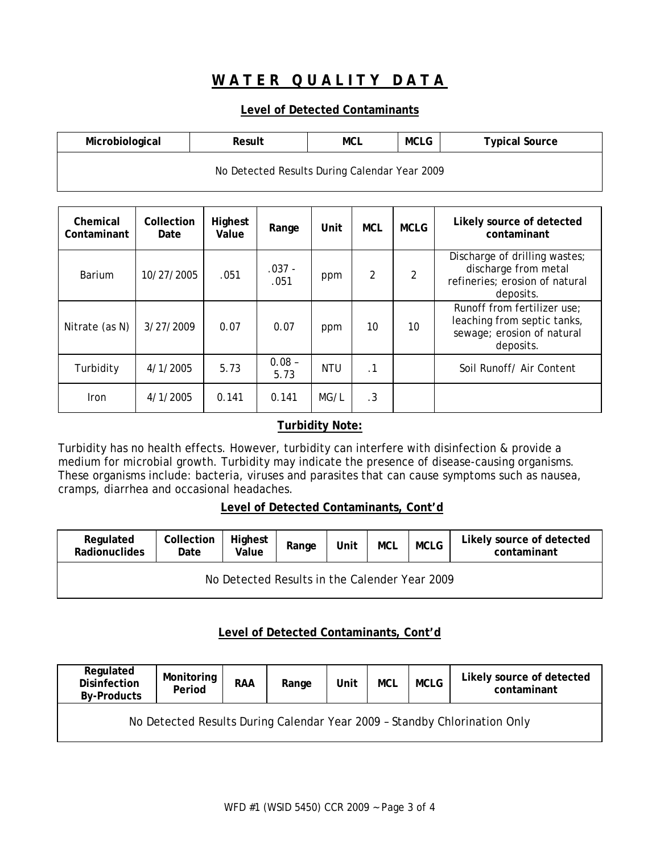# **WATER QUALITY DATA**

### **Level of Detected Contaminants**

| Microbiological                               | Result |  |  | <b>Typical Source</b> |  |  |  |
|-----------------------------------------------|--------|--|--|-----------------------|--|--|--|
| No Detected Results During Calendar Year 2009 |        |  |  |                       |  |  |  |

| Chemical<br>Contaminant | Collection<br>Date | Highest<br>Value | Range            | Unit       | <b>MCL</b> | <b>MCLG</b> | Likely source of detected<br>contaminant                                                              |
|-------------------------|--------------------|------------------|------------------|------------|------------|-------------|-------------------------------------------------------------------------------------------------------|
| Barium                  | 10/27/2005         | .051             | $.037 -$<br>.051 | ppm        | 2          |             | Discharge of drilling wastes;<br>discharge from metal<br>refineries; erosion of natural<br>deposits.  |
| Nitrate (as N)          | 3/27/2009          | 0.07             | 0.07             | ppm        | 10         | 10          | Runoff from fertilizer use;<br>leaching from septic tanks,<br>sewage; erosion of natural<br>deposits. |
| Turbidity               | 4/1/2005           | 5.73             | $0.08 -$<br>5.73 | <b>NTU</b> | $\cdot$ 1  |             | Soil Runoff/ Air Content                                                                              |
| <b>Iron</b>             | 4/1/2005           | 0.141            | 0.141            | MG/L       | .3         |             |                                                                                                       |

## **Turbidity Note:**

Turbidity has no health effects. However, turbidity can interfere with disinfection & provide a medium for microbial growth. Turbidity may indicate the presence of disease-causing organisms. These organisms include: bacteria, viruses and parasites that can cause symptoms such as nausea, cramps, diarrhea and occasional headaches.

## **Level of Detected Contaminants, Cont'd**

| Regulated<br>Radionuclides                    | Collection<br>Date | Highest<br>Value | Range | Unit | <b>MCL</b> | <b>MCLG</b> | Likely source of detected<br>contaminant |  |  |
|-----------------------------------------------|--------------------|------------------|-------|------|------------|-------------|------------------------------------------|--|--|
| No Detected Results in the Calender Year 2009 |                    |                  |       |      |            |             |                                          |  |  |

## **Level of Detected Contaminants, Cont'd**

| Regulated<br><b>Disinfection</b><br><b>By-Products</b>                    | Monitoring<br>Period | <b>RAA</b> | Range | Unit | <b>MCL</b> | <b>MCLG</b> | Likely source of detected<br>contaminant |  |
|---------------------------------------------------------------------------|----------------------|------------|-------|------|------------|-------------|------------------------------------------|--|
| No Detected Results During Calendar Year 2009 - Standby Chlorination Only |                      |            |       |      |            |             |                                          |  |